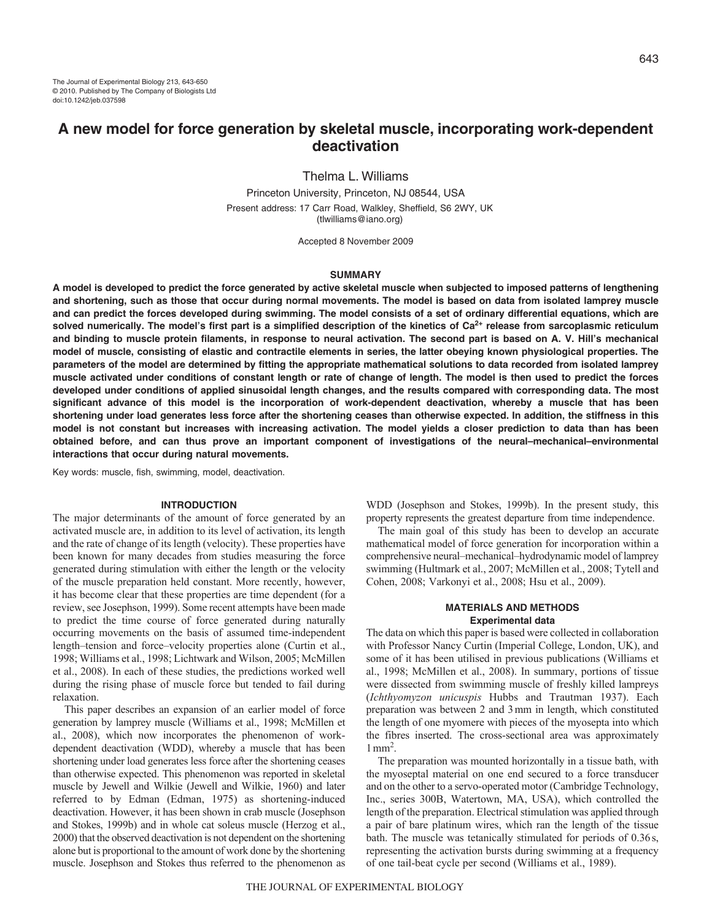# **A new model for force generation by skeletal muscle, incorporating work-dependent deactivation**

Thelma L. Williams

Princeton University, Princeton, NJ 08544, USA Present address: 17 Carr Road, Walkley, Sheffield, S6 2WY, UK (tlwilliams@iano.org)

Accepted 8 November 2009

## **SUMMARY**

**A model is developed to predict the force generated by active skeletal muscle when subjected to imposed patterns of lengthening and shortening, such as those that occur during normal movements. The model is based on data from isolated lamprey muscle and can predict the forces developed during swimming. The model consists of a set of ordinary differential equations, which are** solved numerically. The model's first part is a simplified description of the kinetics of Ca<sup>2+</sup> release from sarcoplasmic reticulum **and binding to muscle protein filaments, in response to neural activation. The second part is based on A. V. Hill's mechanical model of muscle, consisting of elastic and contractile elements in series, the latter obeying known physiological properties. The parameters of the model are determined by fitting the appropriate mathematical solutions to data recorded from isolated lamprey muscle activated under conditions of constant length or rate of change of length. The model is then used to predict the forces developed under conditions of applied sinusoidal length changes, and the results compared with corresponding data. The most significant advance of this model is the incorporation of work-dependent deactivation, whereby a muscle that has been shortening under load generates less force after the shortening ceases than otherwise expected. In addition, the stiffness in this model is not constant but increases with increasing activation. The model yields a closer prediction to data than has been obtained before, and can thus prove an important component of investigations of the neural–mechanical–environmental interactions that occur during natural movements.**

Key words: muscle, fish, swimming, model, deactivation.

## **INTRODUCTION**

The major determinants of the amount of force generated by an activated muscle are, in addition to its level of activation, its length and the rate of change of its length (velocity). These properties have been known for many decades from studies measuring the force generated during stimulation with either the length or the velocity of the muscle preparation held constant. More recently, however, it has become clear that these properties are time dependent (for a review, see Josephson, 1999). Some recent attempts have been made to predict the time course of force generated during naturally occurring movements on the basis of assumed time-independent length–tension and force–velocity properties alone (Curtin et al., 1998; Williams et al., 1998; Lichtwark and Wilson, 2005; McMillen et al., 2008). In each of these studies, the predictions worked well during the rising phase of muscle force but tended to fail during relaxation.

This paper describes an expansion of an earlier model of force generation by lamprey muscle (Williams et al., 1998; McMillen et al., 2008), which now incorporates the phenomenon of workdependent deactivation (WDD), whereby a muscle that has been shortening under load generates less force after the shortening ceases than otherwise expected. This phenomenon was reported in skeletal muscle by Jewell and Wilkie (Jewell and Wilkie, 1960) and later referred to by Edman (Edman, 1975) as shortening-induced deactivation. However, it has been shown in crab muscle (Josephson and Stokes, 1999b) and in whole cat soleus muscle (Herzog et al., 2000) that the observed deactivation is not dependent on the shortening alone but is proportional to the amount of work done by the shortening muscle. Josephson and Stokes thus referred to the phenomenon as

WDD (Josephson and Stokes, 1999b). In the present study, this property represents the greatest departure from time independence.

The main goal of this study has been to develop an accurate mathematical model of force generation for incorporation within a comprehensive neural–mechanical–hydrodynamic model of lamprey swimming (Hultmark et al., 2007; McMillen et al., 2008; Tytell and Cohen, 2008; Varkonyi et al., 2008; Hsu et al., 2009).

## **MATERIALS AND METHODS Experimental data**

The data on which this paper is based were collected in collaboration with Professor Nancy Curtin (Imperial College, London, UK), and some of it has been utilised in previous publications (Williams et al., 1998; McMillen et al., 2008). In summary, portions of tissue were dissected from swimming muscle of freshly killed lampreys (*Ichthyomyzon unicuspis* Hubbs and Trautman 1937). Each preparation was between 2 and 3mm in length, which constituted the length of one myomere with pieces of the myosepta into which the fibres inserted. The cross-sectional area was approximately  $1 \text{ mm}^2$ .

The preparation was mounted horizontally in a tissue bath, with the myoseptal material on one end secured to a force transducer and on the other to a servo-operated motor (Cambridge Technology, Inc., series 300B, Watertown, MA, USA), which controlled the length of the preparation. Electrical stimulation was applied through a pair of bare platinum wires, which ran the length of the tissue bath. The muscle was tetanically stimulated for periods of 0.36s, representing the activation bursts during swimming at a frequency of one tail-beat cycle per second (Williams et al., 1989).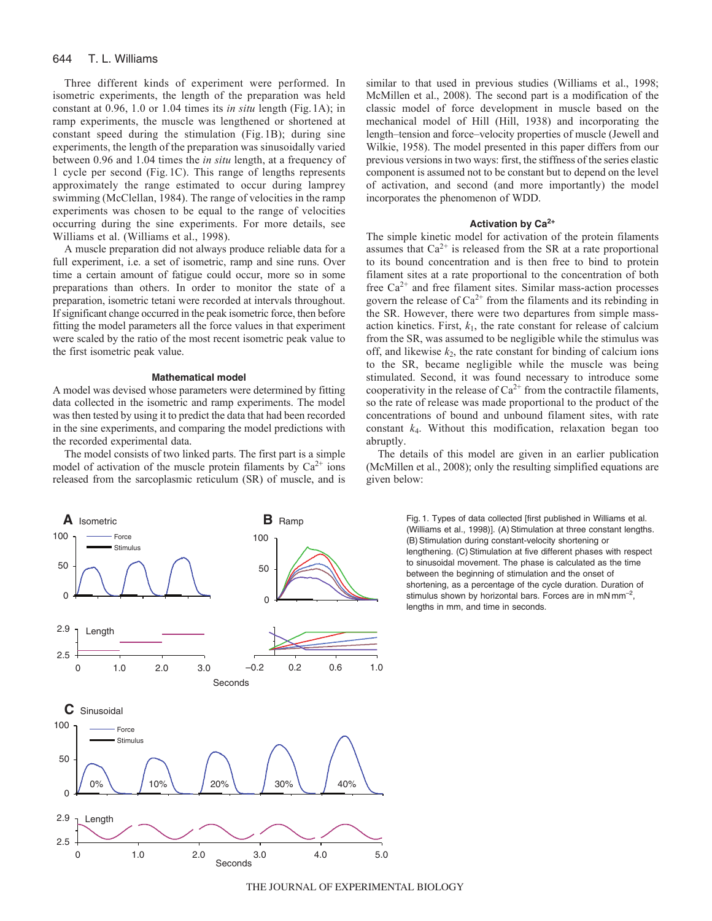#### 644 T. L. Williams

Three different kinds of experiment were performed. In isometric experiments, the length of the preparation was held constant at 0.96, 1.0 or 1.04 times its *in situ* length (Fig.1A); in ramp experiments, the muscle was lengthened or shortened at constant speed during the stimulation (Fig. 1B); during sine experiments, the length of the preparation was sinusoidally varied between 0.96 and 1.04 times the *in situ* length, at a frequency of 1 cycle per second (Fig. 1C). This range of lengths represents approximately the range estimated to occur during lamprey swimming (McClellan, 1984). The range of velocities in the ramp experiments was chosen to be equal to the range of velocities occurring during the sine experiments. For more details, see Williams et al. (Williams et al., 1998).

A muscle preparation did not always produce reliable data for a full experiment, i.e. a set of isometric, ramp and sine runs. Over time a certain amount of fatigue could occur, more so in some preparations than others. In order to monitor the state of a preparation, isometric tetani were recorded at intervals throughout. If significant change occurred in the peak isometric force, then before fitting the model parameters all the force values in that experiment were scaled by the ratio of the most recent isometric peak value to the first isometric peak value.

## **Mathematical model**

A model was devised whose parameters were determined by fitting data collected in the isometric and ramp experiments. The model was then tested by using it to predict the data that had been recorded in the sine experiments, and comparing the model predictions with the recorded experimental data.

The model consists of two linked parts. The first part is a simple model of activation of the muscle protein filaments by  $Ca^{2+}$  ions released from the sarcoplasmic reticulum (SR) of muscle, and is



similar to that used in previous studies (Williams et al., 1998; McMillen et al., 2008). The second part is a modification of the classic model of force development in muscle based on the mechanical model of Hill (Hill, 1938) and incorporating the length–tension and force–velocity properties of muscle (Jewell and Wilkie, 1958). The model presented in this paper differs from our previous versions in two ways: first, the stiffness of the series elastic component is assumed not to be constant but to depend on the level of activation, and second (and more importantly) the model incorporates the phenomenon of WDD.

## **Activation by Ca2+**

The simple kinetic model for activation of the protein filaments assumes that  $Ca^{2+}$  is released from the SR at a rate proportional to its bound concentration and is then free to bind to protein filament sites at a rate proportional to the concentration of both free  $Ca^{2+}$  and free filament sites. Similar mass-action processes govern the release of  $Ca^{2+}$  from the filaments and its rebinding in the SR. However, there were two departures from simple massaction kinetics. First,  $k_1$ , the rate constant for release of calcium from the SR, was assumed to be negligible while the stimulus was off, and likewise  $k_2$ , the rate constant for binding of calcium ions to the SR, became negligible while the muscle was being stimulated. Second, it was found necessary to introduce some cooperativity in the release of  $Ca^{2+}$  from the contractile filaments, so the rate of release was made proportional to the product of the concentrations of bound and unbound filament sites, with rate constant *k*4. Without this modification, relaxation began too abruptly.

The details of this model are given in an earlier publication (McMillen et al., 2008); only the resulting simplified equations are given below:

> Fig. 1. Types of data collected [first published in Williams et al. (Williams et al., 1998)]. (A) Stimulation at three constant lengths. (B) Stimulation during constant-velocity shortening or lengthening. (C) Stimulation at five different phases with respect to sinusoidal movement. The phase is calculated as the time between the beginning of stimulation and the onset of shortening, as a percentage of the cycle duration. Duration of stimulus shown by horizontal bars. Forces are in mN mm<sup>-2</sup>, lengths in mm, and time in seconds.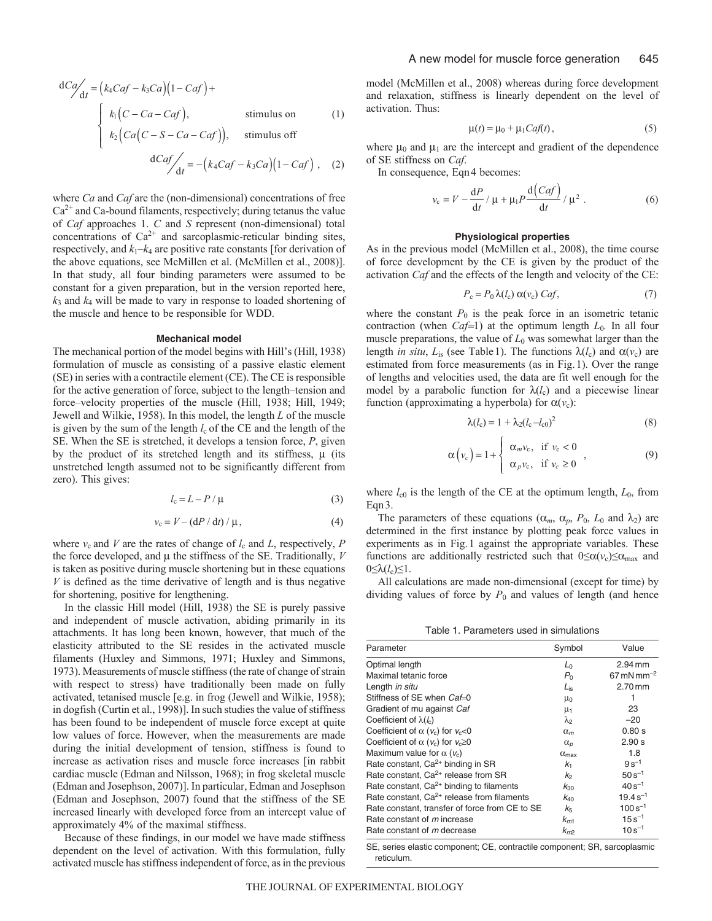$$
dCd_{dt} = (k_4 Caf - k_3 Ca)(1 - Caf) +
$$
  
\n
$$
\begin{cases}\nk_1(C - Ca - Caf), & \text{stimulus on} \\
k_2(Ca(C - S - Ca - Caf)), & \text{stimulus off} \\
dCdf_{dt} = -(k_4 Caf - k_3 Ca)(1 - Caf),\n\end{cases}
$$
\n(1)

where *Ca* and *Caf* are the (non-dimensional) concentrations of free  $Ca<sup>2+</sup>$  and Ca-bound filaments, respectively; during tetanus the value of *Caf* approaches 1. *C* and *S* represent (non-dimensional) total concentrations of  $Ca^{2+}$  and sarcoplasmic-reticular binding sites, respectively, and  $k_1-k_4$  are positive rate constants [for derivation of the above equations, see McMillen et al. (McMillen et al., 2008)]. In that study, all four binding parameters were assumed to be constant for a given preparation, but in the version reported here, *k*<sup>3</sup> and *k*<sup>4</sup> will be made to vary in response to loaded shortening of the muscle and hence to be responsible for WDD.

### **Mechanical model**

The mechanical portion of the model begins with Hill's (Hill, 1938) formulation of muscle as consisting of a passive elastic element (SE) in series with a contractile element (CE). The CE is responsible for the active generation of force, subject to the length–tension and force–velocity properties of the muscle (Hill, 1938; Hill, 1949; Jewell and Wilkie, 1958). In this model, the length *L* of the muscle is given by the sum of the length  $l_c$  of the CE and the length of the SE. When the SE is stretched, it develops a tension force, *P*, given by the product of its stretched length and its stiffness,  $\mu$  (its unstretched length assumed not to be significantly different from zero). This gives:

$$
l_{\rm c} = L - P / \mu \tag{3}
$$

$$
v_{\rm c} = V - \left(\frac{\mathrm{d}P}{\mathrm{d}t}\right) / \mu\,,\tag{4}
$$

where  $v_c$  and *V* are the rates of change of  $l_c$  and *L*, respectively, *P* the force developed, and  $\mu$  the stiffness of the SE. Traditionally,  $V$ is taken as positive during muscle shortening but in these equations *V* is defined as the time derivative of length and is thus negative for shortening, positive for lengthening.

In the classic Hill model (Hill, 1938) the SE is purely passive and independent of muscle activation, abiding primarily in its attachments. It has long been known, however, that much of the elasticity attributed to the SE resides in the activated muscle filaments (Huxley and Simmons, 1971; Huxley and Simmons, 1973). Measurements of muscle stiffness (the rate of change of strain with respect to stress) have traditionally been made on fully activated, tetanised muscle [e.g. in frog (Jewell and Wilkie, 1958); in dogfish (Curtin et al., 1998)]. In such studies the value of stiffness has been found to be independent of muscle force except at quite low values of force. However, when the measurements are made during the initial development of tension, stiffness is found to increase as activation rises and muscle force increases [in rabbit cardiac muscle (Edman and Nilsson, 1968); in frog skeletal muscle (Edman and Josephson, 2007)]. In particular, Edman and Josephson (Edman and Josephson, 2007) found that the stiffness of the SE increased linearly with developed force from an intercept value of approximately 4% of the maximal stiffness.

Because of these findings, in our model we have made stiffness dependent on the level of activation. With this formulation, fully activated muscle has stiffness independent of force, as in the previous model (McMillen et al., 2008) whereas during force development and relaxation, stiffness is linearly dependent on the level of activation. Thus:

$$
\mu(t) = \mu_0 + \mu_1 \text{Caf}(t),\tag{5}
$$

where  $\mu_0$  and  $\mu_1$  are the intercept and gradient of the dependence of SE stiffness on *Caf*.

In consequence, Eqn4 becomes:

$$
v_{\rm c} = V - \frac{\mathrm{d}P}{\mathrm{d}t} / \mu + \mu_{\rm l} P \frac{\mathrm{d}(Caf)}{\mathrm{d}t} / \mu^2 \,. \tag{6}
$$

## **Physiological properties**

As in the previous model (McMillen et al., 2008), the time course of force development by the CE is given by the product of the activation *Caf* and the effects of the length and velocity of the CE:

$$
P_c = P_0 \lambda(l_c) \alpha(v_c) Caf,
$$
 (7)

where the constant  $P_0$  is the peak force in an isometric tetanic contraction (when  $Caf=1$ ) at the optimum length  $L_0$ . In all four muscle preparations, the value of *L*<sup>0</sup> was somewhat larger than the length *in situ*,  $L$ <sub>is</sub> (see Table 1). The functions  $\lambda(l_c)$  and  $\alpha(v_c)$  are estimated from force measurements (as in Fig.1). Over the range of lengths and velocities used, the data are fit well enough for the model by a parabolic function for  $\lambda(l_c)$  and a piecewise linear function (approximating a hyperbola) for  $\alpha(v_c)$ :

$$
\lambda(l_{c}) = 1 + \lambda_{2}(l_{c} - l_{c0})^{2}
$$
\n(8)

$$
\alpha(v_c) = 1 + \begin{cases} \alpha_m v_c, & \text{if } v_c < 0 \\ \alpha_p v_c, & \text{if } v_c \ge 0 \end{cases},
$$
\n(9)

where  $l_{c0}$  is the length of the CE at the optimum length,  $L_0$ , from Eqn3.

The parameters of these equations ( $\alpha_m$ ,  $\alpha_p$ ,  $P_0$ ,  $L_0$  and  $\lambda_2$ ) are determined in the first instance by plotting peak force values in experiments as in Fig.1 against the appropriate variables. These functions are additionally restricted such that  $0 \le \alpha(v_c) \le \alpha_{\text{max}}$  and  $0 \leq \lambda(l_c) \leq 1$ .

All calculations are made non-dimensional (except for time) by dividing values of force by  $P_0$  and values of length (and hence

Table 1. Parameters used in simulations

| Parameter                                              | Symbol                | Value                    |
|--------------------------------------------------------|-----------------------|--------------------------|
| Optimal length                                         | L <sub>0</sub>        | $2.94$ mm                |
| Maximal tetanic force                                  | $P_0$                 | $67$ mN mm <sup>-2</sup> |
| Length in situ                                         | $L_{is}$              | 2.70 mm                  |
| Stiffness of SE when Caf=0                             | $\mu_0$               | 1                        |
| Gradient of mu against Caf                             | μ1                    | 23                       |
| Coefficient of $\lambda(l_c)$                          | λ2                    | $-20$                    |
| Coefficient of $\alpha$ ( $v_c$ ) for $v_c$ <0         | $\alpha_m$            | 0.80 s                   |
| Coefficient of $\alpha$ ( $v_c$ ) for $v_c \ge 0$      | $\alpha_p$            | 2.90 s                   |
| Maximum value for $\alpha$ ( $v_c$ )                   | $\alpha_{\text{max}}$ | 1.8                      |
| Rate constant, $Ca^{2+}$ binding in SR                 | $k_{1}$               | $9s^{-1}$                |
| Rate constant, Ca <sup>2+</sup> release from SR        | k2                    | $50 s^{-1}$              |
| Rate constant, $Ca^{2+}$ binding to filaments          | $k_{30}$              | $40 s^{-1}$              |
| Rate constant, Ca <sup>2+</sup> release from filaments | $k_{40}$              | $19.4 s^{-1}$            |
| Rate constant, transfer of force from CE to SE         | $k_{5}$               | $100 s^{-1}$             |
| Rate constant of m increase                            | $k_{m1}$              | $15s^{-1}$               |
| Rate constant of m decrease                            | $k_{m2}$              | $10 s^{-1}$              |

SE, series elastic component; CE, contractile component; SR, sarcoplasmic reticulum.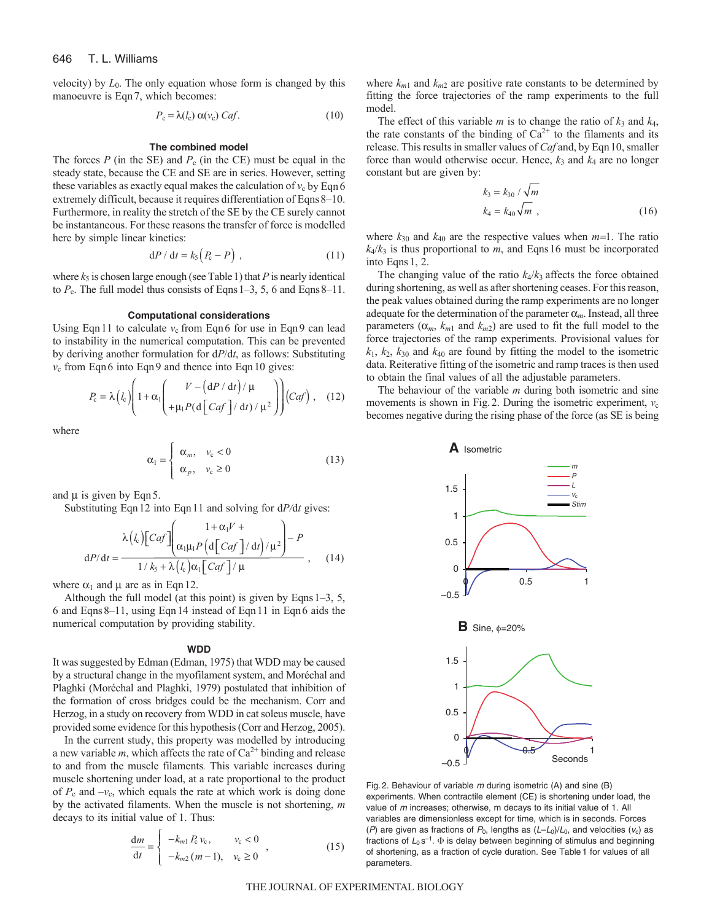#### 646 T. L. Williams

velocity) by *L*0. The only equation whose form is changed by this manoeuvre is Eqn7, which becomes:

$$
P_{\rm c} = \lambda(l_{\rm c}) \, \alpha(v_{\rm c}) \, Caf. \tag{10}
$$

## **The combined model**

The forces  $P$  (in the SE) and  $P_c$  (in the CE) must be equal in the steady state, because the CE and SE are in series. However, setting these variables as exactly equal makes the calculation of  $v_c$  by Eqn 6 extremely difficult, because it requires differentiation of Eqns 8–10. Furthermore, in reality the stretch of the SE by the CE surely cannot be instantaneous. For these reasons the transfer of force is modelled here by simple linear kinetics:

$$
dP/dt = k_5 (P_c - P) , \qquad (11)
$$

where  $k_5$  is chosen large enough (see Table 1) that *P* is nearly identical to  $P_c$ . The full model thus consists of Eqns 1–3, 5, 6 and Eqns 8–11.

### **Computational considerations**

Using Eqn 11 to calculate  $v_c$  from Eqn6 for use in Eqn9 can lead to instability in the numerical computation. This can be prevented by deriving another formulation for d*P*/d*t*, as follows: Substituting  $v_c$  from Eqn6 into Eqn9 and thence into Eqn 10 gives:

$$
P_{\rm c} = \lambda \left( l_{\rm c} \right) \left( 1 + \alpha_1 \left( \frac{V - \left( \mathrm{d}P / \mathrm{d}t \right) / \mu}{+ \mu_1 P(\mathrm{d}\left[ \mathrm{C}af \right] / \mathrm{d}t) / \mu^2} \right) \right) \left( \mathrm{C}af \right) , \quad (12)
$$

where

$$
\alpha_1 = \begin{cases} \alpha_m, & v_c < 0 \\ \alpha_p, & v_c \ge 0 \end{cases}
$$
 (13)

and  $\mu$  is given by Eqn 5.

Substituting Eqn12 into Eqn11 and solving for d*P/*d*t* gives:

$$
dP/dt = \frac{\lambda(l_c)\left[Caf\right]\left(\frac{1+\alpha_1V+\alpha_1V}{\alpha_1\mu_1P\left(d\left[Caf\right]/dt\right)/\mu^2}\right)-P}{1/k_5 + \lambda(l_c)\alpha_1\left[Caf\right]/\mu},\quad(14)
$$

where  $\alpha_1$  and  $\mu$  are as in Eqn 12.

Although the full model (at this point) is given by Eqns1–3, 5, 6 and Eqns8–11, using Eqn14 instead of Eqn11 in Eqn6 aids the numerical computation by providing stability.

#### **WDD**

It was suggested by Edman (Edman, 1975) that WDD may be caused by a structural change in the myofilament system, and Moréchal and Plaghki (Moréchal and Plaghki, 1979) postulated that inhibition of the formation of cross bridges could be the mechanism. Corr and Herzog, in a study on recovery from WDD in cat soleus muscle, have provided some evidence for this hypothesis (Corr and Herzog, 2005).

In the current study, this property was modelled by introducing a new variable  $m$ , which affects the rate of  $Ca^{2+}$  binding and release to and from the muscle filaments*.* This variable increases during muscle shortening under load, at a rate proportional to the product of  $P_c$  and  $-v_c$ , which equals the rate at which work is doing done by the activated filaments. When the muscle is not shortening, *m* decays to its initial value of 1. Thus:

$$
\frac{dm}{dt} = \begin{cases}\n-k_{m1} P_c v_c, & v_c < 0 \\
-k_{m2} (m-1), & v_c \ge 0\n\end{cases},
$$
\n(15)

where  $k_{m1}$  and  $k_{m2}$  are positive rate constants to be determined by fitting the force trajectories of the ramp experiments to the full model.

The effect of this variable  $m$  is to change the ratio of  $k_3$  and  $k_4$ , the rate constants of the binding of  $Ca^{2+}$  to the filaments and its release. This results in smaller values of *Caf* and, by Eqn10, smaller force than would otherwise occur. Hence,  $k_3$  and  $k_4$  are no longer constant but are given by:

$$
k_3 = k_{30} / \sqrt{m} k_4 = k_{40} \sqrt{m} ,
$$
 (16)

where  $k_{30}$  and  $k_{40}$  are the respective values when  $m=1$ . The ratio  $k_4/k_3$  is thus proportional to *m*, and Eqns 16 must be incorporated into Eqns1, 2.

The changing value of the ratio  $k_4/k_3$  affects the force obtained during shortening, as well as after shortening ceases. For this reason, the peak values obtained during the ramp experiments are no longer adequate for the determination of the parameter  $\alpha_m$ . Instead, all three parameters  $(\alpha_m, k_{m1}$  and  $k_{m2})$  are used to fit the full model to the force trajectories of the ramp experiments. Provisional values for  $k_1$ ,  $k_2$ ,  $k_{30}$  and  $k_{40}$  are found by fitting the model to the isometric data. Reiterative fitting of the isometric and ramp traces is then used to obtain the final values of all the adjustable parameters.

The behaviour of the variable *m* during both isometric and sine movements is shown in Fig. 2. During the isometric experiment,  $v_c$ becomes negative during the rising phase of the force (as SE is being



Fig. 2. Behaviour of variable <sup>m</sup> during isometric (A) and sine (B) experiments. When contractile element (CE) is shortening under load, the value of <sup>m</sup> increases; otherwise, m decays to its initial value of 1. All variables are dimensionless except for time, which is in seconds. Forces (P) are given as fractions of  $P_0$ , lengths as  $(L-L_0)/L_0$ , and velocities ( $v_c$ ) as fractions of  $L_0$ s<sup>-1</sup>.  $\Phi$  is delay between beginning of stimulus and beginning of shortening, as a fraction of cycle duration. See Table 1 for values of all parameters.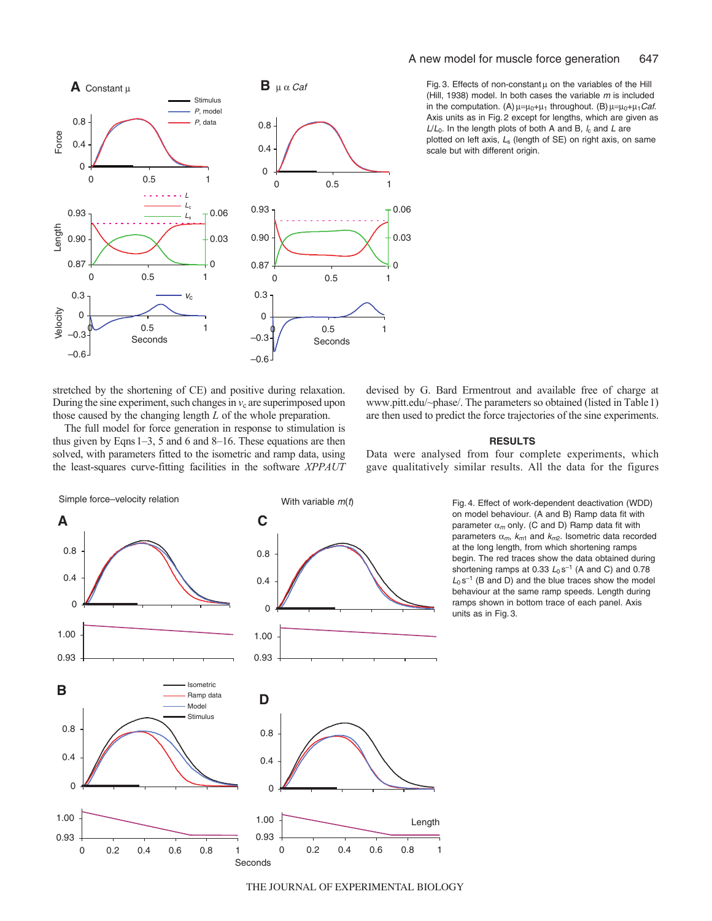## A new model for muscle force generation 647



Fig. 3. Effects of non-constant  $\mu$  on the variables of the Hill (Hill, 1938) model. In both cases the variable  $m$  is included in the computation. (A)  $\mu=\mu_0+\mu_1$  throughout. (B)  $\mu=\mu_0+\mu_1Cat$ . Axis units as in Fig. 2 except for lengths, which are given as  $L/L_0$ . In the length plots of both A and B,  $l_c$  and L are plotted on left axis,  $L_s$  (length of SE) on right axis, on same scale but with different origin.

stretched by the shortening of CE) and positive during relaxation. During the sine experiment, such changes in  $v_c$  are superimposed upon those caused by the changing length *L* of the whole preparation.

The full model for force generation in response to stimulation is thus given by Eqns  $1-3$ , 5 and 6 and  $8-16$ . These equations are then solved, with parameters fitted to the isometric and ramp data, using the least-squares curve-fitting facilities in the software *XPPAUT* devised by G. Bard Ermentrout and available free of charge at www.pitt.edu/~phase/. The parameters so obtained (listed in Table1) are then used to predict the force trajectories of the sine experiments.

#### **RESULTS**

Data were analysed from four complete experiments, which gave qualitatively similar results. All the data for the figures



Fig. 4. Effect of work-dependent deactivation (WDD) on model behaviour. (A and B) Ramp data fit with parameter  $\alpha_m$  only. (C and D) Ramp data fit with parameters  $\alpha_m$ ,  $k_{m1}$  and  $k_{m2}$ . Isometric data recorded at the long length, from which shortening ramps begin. The red traces show the data obtained during shortening ramps at 0.33  $L_0$  s<sup>-1</sup> (A and C) and 0.78  $L_0$  s<sup>-1</sup> (B and D) and the blue traces show the model behaviour at the same ramp speeds. Length during ramps shown in bottom trace of each panel. Axis units as in Fig. 3.

THE JOURNAL OF EXPERIMENTAL BIOLOGY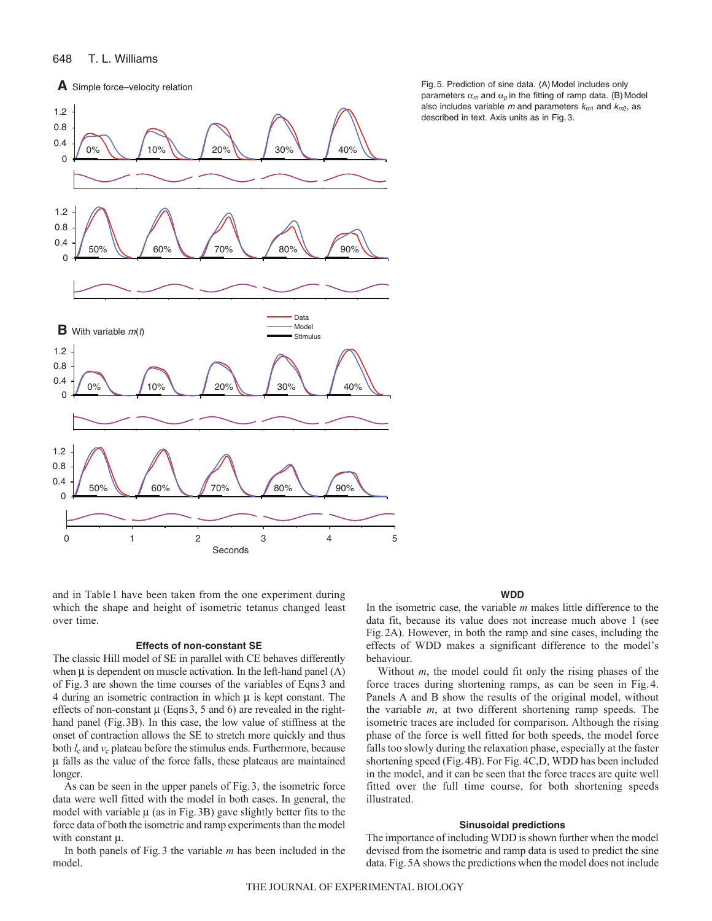

Fig. 5. Prediction of sine data. (A) Model includes only parameters  $\alpha_m$  and  $\alpha_p$  in the fitting of ramp data. (B) Model also includes variable m and parameters  $k_{m1}$  and  $k_{m2}$ , as described in text. Axis units as in Fig. 3.

and in Table 1 have been taken from the one experiment during which the shape and height of isometric tetanus changed least over time.

## **Effects of non-constant SE**

The classic Hill model of SE in parallel with CE behaves differently when  $\mu$  is dependent on muscle activation. In the left-hand panel (A) of Fig.3 are shown the time courses of the variables of Eqns3 and  $4$  during an isometric contraction in which  $\mu$  is kept constant. The effects of non-constant  $\mu$  (Eqns 3, 5 and 6) are revealed in the righthand panel (Fig.3B). In this case, the low value of stiffness at the onset of contraction allows the SE to stretch more quickly and thus both  $l_c$  and  $v_c$  plateau before the stimulus ends. Furthermore, because  $\mu$  falls as the value of the force falls, these plateaus are maintained longer.

As can be seen in the upper panels of Fig.3, the isometric force data were well fitted with the model in both cases. In general, the model with variable  $\mu$  (as in Fig. 3B) gave slightly better fits to the force data of both the isometric and ramp experiments than the model with constant  $\mu$ .

In both panels of Fig.3 the variable *m* has been included in the model.

## **WDD**

In the isometric case, the variable *m* makes little difference to the data fit, because its value does not increase much above 1 (see Fig.2A). However, in both the ramp and sine cases, including the effects of WDD makes a significant difference to the model's behaviour.

Without *m*, the model could fit only the rising phases of the force traces during shortening ramps, as can be seen in Fig. 4. Panels A and B show the results of the original model, without the variable *m*, at two different shortening ramp speeds. The isometric traces are included for comparison. Although the rising phase of the force is well fitted for both speeds, the model force falls too slowly during the relaxation phase, especially at the faster shortening speed (Fig.4B). For Fig.4C,D, WDD has been included in the model, and it can be seen that the force traces are quite well fitted over the full time course, for both shortening speeds illustrated.

## **Sinusoidal predictions**

The importance of including WDD is shown further when the model devised from the isometric and ramp data is used to predict the sine data. Fig.5A shows the predictions when the model does not include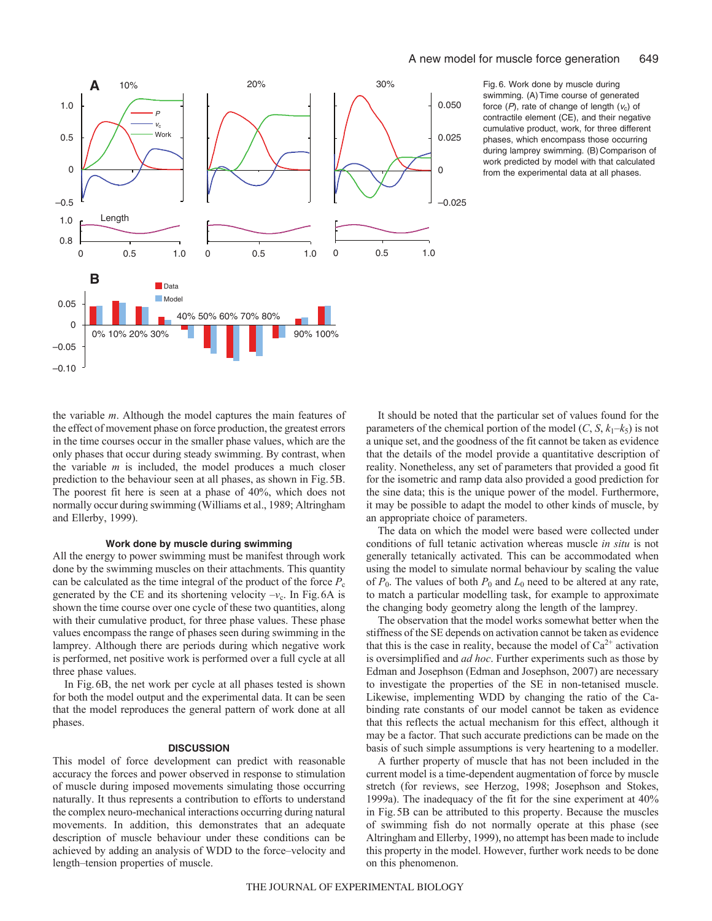

Fig. 6. Work done by muscle during swimming. (A) Time course of generated force  $(P)$ , rate of change of length  $(v_c)$  of contractile element (CE), and their negative cumulative product, work, for three different phases, which encompass those occurring during lamprey swimming. (B) Comparison of work predicted by model with that calculated from the experimental data at all phases.

the variable *m*. Although the model captures the main features of the effect of movement phase on force production, the greatest errors in the time courses occur in the smaller phase values, which are the only phases that occur during steady swimming. By contrast, when the variable *m* is included, the model produces a much closer prediction to the behaviour seen at all phases, as shown in Fig.5B. The poorest fit here is seen at a phase of 40%, which does not normally occur during swimming (Williams et al., 1989; Altringham and Ellerby, 1999).

## **Work done by muscle during swimming**

All the energy to power swimming must be manifest through work done by the swimming muscles on their attachments. This quantity can be calculated as the time integral of the product of the force  $P_c$ generated by the CE and its shortening velocity  $-v_c$ . In Fig.6A is shown the time course over one cycle of these two quantities, along with their cumulative product, for three phase values. These phase values encompass the range of phases seen during swimming in the lamprey. Although there are periods during which negative work is performed, net positive work is performed over a full cycle at all three phase values.

In Fig.6B, the net work per cycle at all phases tested is shown for both the model output and the experimental data. It can be seen that the model reproduces the general pattern of work done at all phases.

## **DISCUSSION**

This model of force development can predict with reasonable accuracy the forces and power observed in response to stimulation of muscle during imposed movements simulating those occurring naturally. It thus represents a contribution to efforts to understand the complex neuro-mechanical interactions occurring during natural movements. In addition, this demonstrates that an adequate description of muscle behaviour under these conditions can be achieved by adding an analysis of WDD to the force–velocity and length–tension properties of muscle.

It should be noted that the particular set of values found for the parameters of the chemical portion of the model  $(C, S, k_1-k_5)$  is not a unique set, and the goodness of the fit cannot be taken as evidence that the details of the model provide a quantitative description of reality. Nonetheless, any set of parameters that provided a good fit for the isometric and ramp data also provided a good prediction for the sine data; this is the unique power of the model. Furthermore, it may be possible to adapt the model to other kinds of muscle, by an appropriate choice of parameters.

The data on which the model were based were collected under conditions of full tetanic activation whereas muscle *in situ* is not generally tetanically activated. This can be accommodated when using the model to simulate normal behaviour by scaling the value of  $P_0$ . The values of both  $P_0$  and  $L_0$  need to be altered at any rate, to match a particular modelling task, for example to approximate the changing body geometry along the length of the lamprey.

The observation that the model works somewhat better when the stiffness of the SE depends on activation cannot be taken as evidence that this is the case in reality, because the model of  $Ca^{2+}$  activation is oversimplified and *ad hoc*. Further experiments such as those by Edman and Josephson (Edman and Josephson, 2007) are necessary to investigate the properties of the SE in non-tetanised muscle. Likewise, implementing WDD by changing the ratio of the Cabinding rate constants of our model cannot be taken as evidence that this reflects the actual mechanism for this effect, although it may be a factor. That such accurate predictions can be made on the basis of such simple assumptions is very heartening to a modeller.

A further property of muscle that has not been included in the current model is a time-dependent augmentation of force by muscle stretch (for reviews, see Herzog, 1998; Josephson and Stokes, 1999a). The inadequacy of the fit for the sine experiment at 40% in Fig.5B can be attributed to this property. Because the muscles of swimming fish do not normally operate at this phase (see Altringham and Ellerby, 1999), no attempt has been made to include this property in the model. However, further work needs to be done on this phenomenon.